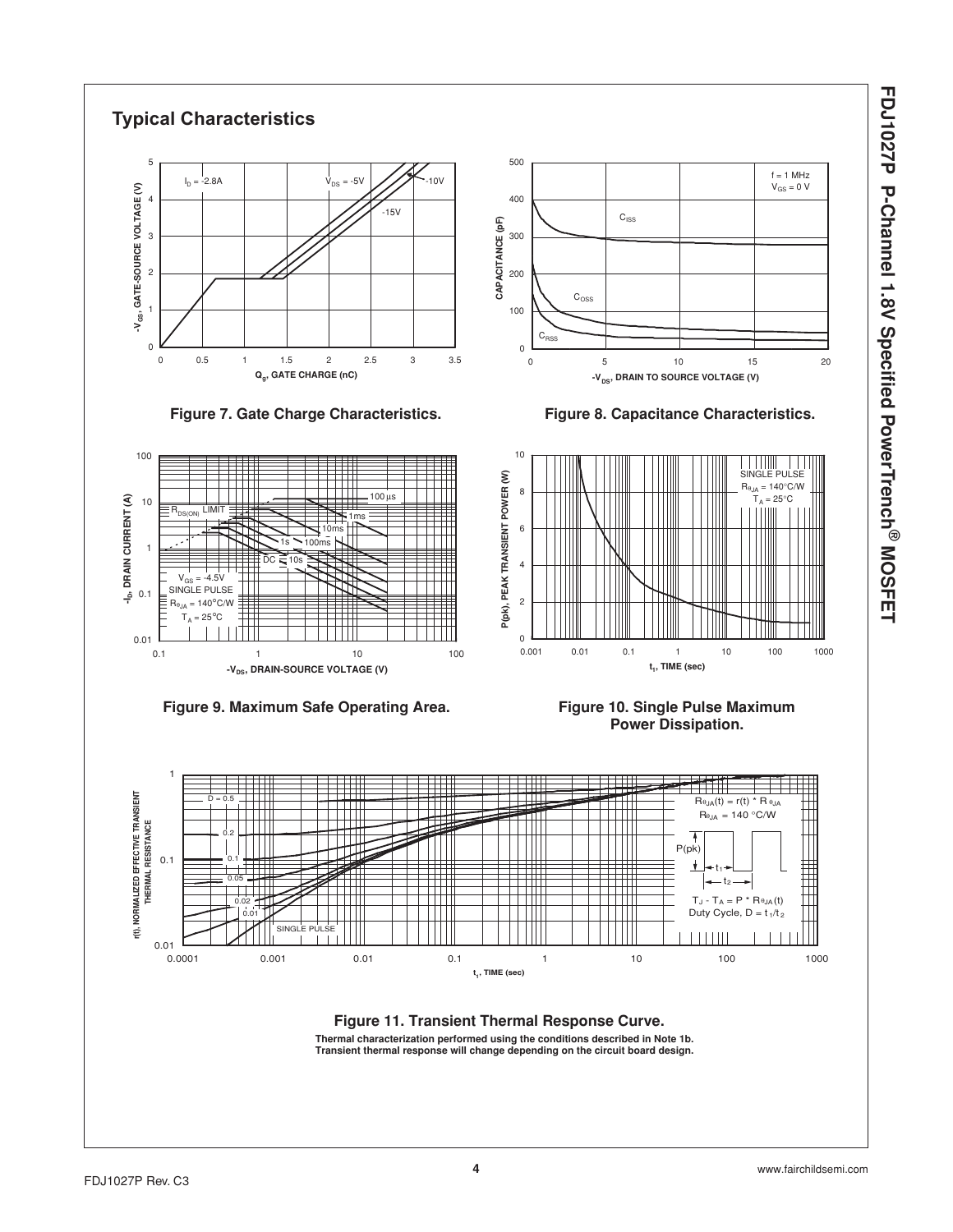